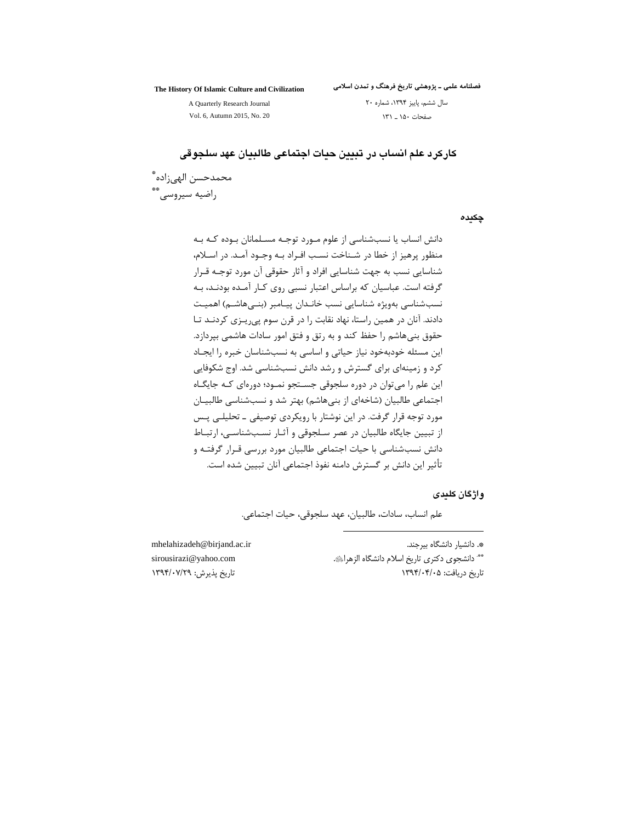#### The History Of Islamic Culture and Civilization

فصلنامه علمی ــ پژوهشی تاریخ فرهنگ و تمدن اسلامی سال ششم، پاییز ۱۳۹۴، شماره ۲۰

صفحات ۱۵۰ \_ ۱۳۱

A Quarterly Research Journal Vol. 6, Autumn 2015, No. 20

كاركرد علم انساب در تبيين حيات اجتماعي طالبيان عهد سلجوقي

محمدحسن الهي;اده ٌ راضيه سيروسي. \*\*

چکیدہ

دانش انساب یا نسبشناسی از علوم مـورد توجـه مسـلمانان بـوده کـه بـه منظور پرهیز از خطا در شـناخت نسـب افـراد بـه وجـود آمـد. در اسـلام، شناسایی نسب به جهت شناسایی افراد و آثار حقوقی آن مورد توجـه قـرار گرفته است. عباسیان که براساس اعتبار نسبی روی کـار آمـده بودنـد، بـه نسب شناسی بهویژه شناسایی نسب خانـدان پیـامبر (بنـی۱هاشـم) اهمیـت دادند. آنان در همین راستا، نهاد نقابت را در قرن سوم پی ریزی کردنـد تـا حقوق بنیهاشم را حفظ کند و به رتق و فتق امور سادات هاشمی بپردازد. این مسئله خودبهخود نیاز حیاتی و اساسی به نسبشناسان خبره را ایجـاد کرد و زمینهای برای گسترش و رشد دانش نسبشناسی شد. اوج شکوفایی این علم را می توان در دوره سلجوقی جســتجو نمــود؛ دورهای کــه جایگــاه اجتماعی طالبیان (شاخهای از بنیهاشم) بهتر شد و نسبشناسی طالبیـان مورد توجه قرار گرفت. در این نوشتار با رویکردی توصیفی ـ تحلیلـی پـس از تبیین جایگاه طالبیان در عصر سلجوقی و آثار نسبشناسی، ارتباط دانش نسبشناسی با حیات اجتماعی طالبیان مورد بررسی قـرار گرفتـه و تأثير اين دانش بر گسترش دامنه نفوذ اجتماعي آنان تبيين شده است.

وإژگان كلىدى

علم انساب، سادات، طالبيان، عهد سلجوقي، حيات اجتماعي.

mhelahizadeh@birjand.ac.ir sirousirazi@yahoo.com تاريخ پذيرش: ١٣٩٣/٠٧/٢٩

\*. دانشیار دانشگاه بیرجند. \*\* دانشجوی دکتری تاریخ اسلام دانشگاه الزهرائی. تاریخ دریافت: ۱۳۹۴/۰۴/۰۵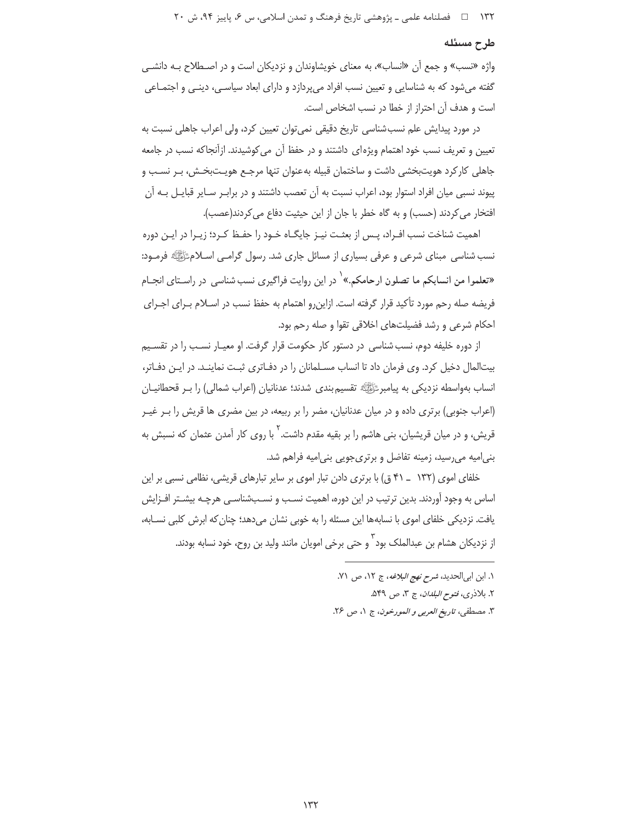#### طرح مسئله

واژه «نسب» و جمع اَن «انساب»، به معنای خویشاوندان و نزدیکان است و در اصـطلاح بـه دانشـی گفته میشود که به شناسایی و تعیین نسب افراد میپردازد و دارای ابعاد سیاسـی، دینـی و اجتمـاعی است و هدف آن احتراز از خطا در نسب اشخاص است.

در مورد پیدایش علم نسبشناسی تاریخ دقیقی نمی توان تعیین کرد، ولی اعراب جاهلی نسبت به تعیین و تعریف نسب خود اهتمام ویژهای داشتند و در حفظ آن می کوشیدند. ازآنجاکه نسب در جامعه جاهلی کارکرد هویتبخشی داشت و ساختمان قبیله بهعنوان تنها مرجع هویـتبخـش، بـر نسـب و پیوند نسبی میان افراد استوار بود، اعراب نسبت به آن تعصب داشتند و در برابـر سـایر قبایـل بـه آن افتخار می کردند (حسب) و به گاه خطر با جان از این حیثیت دفاع می کردند(عصب).

اهمیت شناخت نسب افـراد، پـس از بعثـت نیـز جایگـاه خـود را حفـظ کـرد؛ زیـرا در ایـن دوره نسب شناسی ًمبنای شرعی و عرفی بسیاری از مسائل جاری شد. رسول گرامـی اسـلامﷺ فرمـود: «تعلموا من انسابکم ما تصلون ارحامکم.»<sup>\</sup> در این روایت فراگیری نسب شناسی در راسـتای انجــام فریضه صله رحم مورد تأکید قرار گرفته است. ازاین و اهتمام به حفظ نسب در اسـلام بـرای اجـرای احکام شرعی و رشد فضیلتهای اخلاقی تقوا و صله رحم بود.

از دوره خلیفه دوم، نسب شناسی در دستور کار حکومت قرار گرفت. او معیـار نسـب را در تقسـیم بیتالمال دخیل کرد. وی فرمان داد تا انساب مسـلمانان را در دفـاتری ثبـت نماینـد. در ایـن دفـاتر، انساب بهواسطه نزدیکی به پیامبرﷺ تقسیم بندی شدند؛ عدنانیان (اعراب شمالی) را بـر قحطانیــان (اعراب جنوبی) برتری داده و در میان عدنانیان، مضر را بر ربیعه، در بین مضری ها قریش را بـر غیـر قریش، و در میان قریشیان، پنی هاش<sub>م د</sub>ا بر بقیه مقدم داشت. <sup>۲</sup> با روی کار آمدن عثمان که نسبش به بنیامیه میرسید، زمینه تفاضل و برتریجویی بنیامیه فراهم شد.

خلفای اموی (۱۳۲ \_ ۴۱ ق) با برتری دادن تبار اموی بر سایر تبارهای قریشی، نظامی نسبی بر این اساس به وجود آوردند. بدین ترتیب در این دوره، اهمیت نسـب و نسـبشناسـی هرچـه بیشـتر افـزایش یافت. نزدیکی خلفای اموی با نسابهها این مسئله را به خوبی نشان میدهد؛ چنان که ابرش کلبی نسـابه، از نزدیکان هشام بن عبدالملک بود<sup>۲</sup> و حتی برخی امویان مانند ولید بن روح، خود نسابه بودند.

١. ابن ابي الحديد، شرح نهج البلاغه، ج ١٢، ص ٧١. ٢. بلاذري، فتوح *البلدان*، ج ٣، ص ٥۴٩.

٣. مصطفى، تاريخ العربي و المورخون، ج ١، ص ٢٤.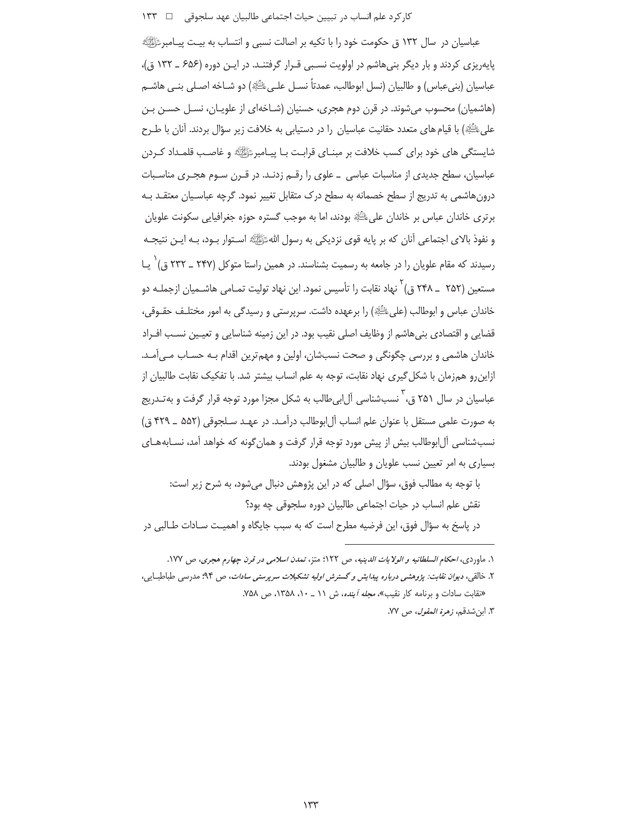## کار کرد علم انساب در تبیین حیات اجتماعی طالبیان عهد سلجوقی ⊥ ۔ ۱۳۳

عباسیان در سال ۱۳۲ ق حکومت خود را با تکیه بر اصالت نسبی و انتساب به بیـت پیـامبرﷺ یاپهریزی کردند و بار دیگر بنے هاشم در اولویت نسبے قبرار گرفتنـد. در ایـن دوره (۶۵۶ ـ ۱۳۲ ق)، عباسيان (بنيءباس) و طالبيان (نسل ابوطالب، عمدتاً نســل علــيﷺ) دو شــاخه اصــلي بنــي هاشــم (هاشمیان) محسوب می شوند. در قرن دوم هجری، حسنیان (شـاخهای از علویـان، نسـل حسـن بـن على ُڭَلا) با قيام هاي متعدد حقانيت عباسيان را در دستيابي به خلافت زير سؤال بردند. آنان با طـرح شایستگی های خود برای کسب خلافت بر مبنـای قرابـت بـا پیـامبر ﷺ و غاصـب قلمـداد کـردن عباسیان، سطح جدیدی از مناسبات عباسی \_ علوی را رقـم زدنـد. در قـرن سـوم هجـری مناسـبات درونهاشمی به تدریج از سطح خصمانه به سطح درک متقابل تغییر نمود. گرچه عباسـبان معتقـد بـه برتري خاندان عباس بر خاندان على ﷺ بودند، اما به موجب گستره حوزه جغرافيايي سكونت علويان و نفوذ بالاي اجتماعي آنان كه بر پايه قوى نزديكي به رسول اللهﷺ اسـتوار بـود، بـه ايـن نتيجـه رسیدند که مقام علویان را در جامعه به رسمیت بشناسند. در همین راستا متوکل (۲۴۷ ــ ۲۳۲ ق)  $'$ یـا مستعین (۲۵۲ \_ ۲۴۸ ق) <sup>۲</sup> نهاد نقابت را تأسیس نمود. این نهاد تولیت تمـامی هاشــمیان ازجملــه دو خاندان عباس و ابوطالب (علىﷺ) را برعهده داشت. سرپرستي و رسيدگي به امور مختلـف حقــوقي، قضایی و اقتصادی بنیهاشم از وظایف اصلی نقیب بود. در این زمینه شناسایی و تعیـین نسـب افـراد خاندان هاشمي و بررسي چگونگي و صحت نسبشان، اولين و مهم ترين اقدام بـه حسـاب مـي آمـد. ازاین رو همزمان با شکل گیری نهاد نقابت، توجه به علم انساب بیشتر شد. با تفکیک نقابت طالبیان از عباسیان در سال ۲۵۱ ق، ٰ نسبشناسی آل!بی طالب به شکل مجزا مورد توجه قرار گرفت و به تـدریج به صورت علمي مستقل با عنوان علم انساب آل ابوطالب درآمـد. در عهـد سـلجوقي (۵۵۲ \_ ۴۲۹ ق) نسبشناسی آل|بوطالب بیش از پیش مورد توجه قرار گرفت و همان گونه که خواهد آمد، نسـابههـای بسیاری به امر تعیین نسب علویان و طالبیان مشغول بودند.

با توجه به مطالب فوق، سؤال اصلی که در این پژوهش دنبال می شود، به شرح زیر است: نقش علم انساب در حیات اجتماعی طالبیان دوره سلجوقی چه بود؟ در پاسخ به سؤال فوق، این فرضیه مطرح است که به سبب جایگاه و اهمیـت سـادات طـالبی در

١. ماوردي، احكام السلطانيه و الولايات الدينيه، ص ١٢٢؛ متز، تمدن اسلامي در قرن چهارم هجري، ص ١٧٧.

۲. خالقی، دی*وان نقابت: پژوهشی درباره پیدایش و گسترش اولیه تشکیلات سرپرستی سادات، ص ۹*۴؛ مدرسی طباطبایی، «نقابت سادات و برنامه کار نقیب»، *مجله آینده*، ش ١١ ـ ١٠، ١٣۵٨، ص ٧۵٨.

٣. ابن شدقم، *زهرة المقول*، ص ٧٧.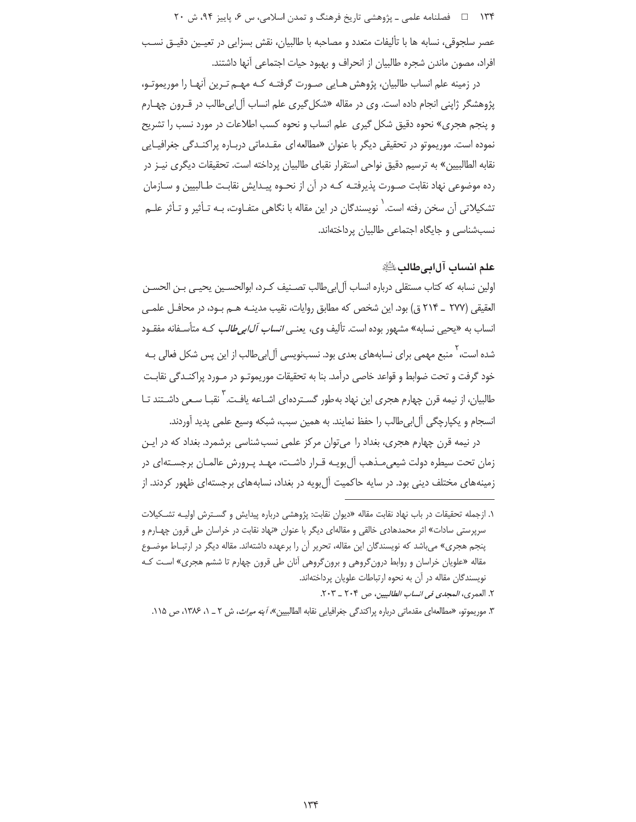۱۳۴ = ه فصلنامه علمي ـ یژوهشي تاریخ فرهنگ و تمدن اسلامي، س ۶، پاییز ۹۴، ش ۲۰

عصر سلجوقي، نسابه ها با تأليفات متعدد و مصاحبه با طالبيان، نقش بسزايي در تعيـين دقيـق نسـب افراد، مصون ماندن شجره طالبيان از انحراف و بهبود حيات اجتماعي آنها داشتند.

در زمینه علم انساب طالبیان، پژوهش هـایی صـورت گرفتـه کـه مهـم تـرین آنهـا را موریموتـو، پژوهشگر ژاپنی انجام داده است. وی در مقاله «شکل گیری علم انساب آل ابی طالب در قـرون چهـارم و پنجم هجری» نحوه دقیق شکل گیری علم انساب و نحوه کسب اطلاعات در مورد نسب را تشریح نموده است. موریموتو در تحقیقی دیگر با عنوان «مطالعه ای مقـدماتی دربـاره پراکنـدگی جغرافیـایی نقابه الطالبيين» به ترسيم دقيق نواحي استقرار نقباي طالبيان پرداخته است. تحقيقات ديگري نيـز در رده موضوعی نهاد نقابت صـورت پذیرفتـه کـه در آن از نحـوه پیـدایش نقابـت طـالبیین و سـازمان تشکیلاتی آن سخن رفته است.<sup>\</sup> نویسندگان در این مقاله با نگاهی متفـاوت، بـه تـأثیر و تـأثر علـم نسبشناسی و جایگاه اجتماعی طالبیان پرداختهاند.

علم انساب آلابيطالبﷺ

اولین نسابه که کتاب مستقلی درباره انساب اّل|بی طالب تصـنیف کـرد، ابوالحسـین یحیـی بـن الحسـن العقيقي (٢٧٧ \_ ٢١۴ ق) بود. اين شخص كه مطابق روايات، نقيب مدينـه هـم بـود، در محافـل علمـي انساب به «یحیی نسابه» مشهور بوده است. تألیف وی، یعن*ـی انساب آل|بی طالب* کـه متأسـفانه مفقـود شده است، ٰ منبع مهمی برای نسابههای بعدی بود. نسبنویسی آل!بیطالب از این پس شکل فعالی بـه خود گرفت و تحت ضوابط و قواعد خاصی درآمد. بنا به تحقیقات موریموتـو در مـورد پراکنـدگی نقابـت طالبیان، از نیمه قرن چهارم هجری این نهاد به طور گسـتردهای اشـاعه یافـت. <sup>\</sup> نقبـا سـعی داشـتند تـا انسجام و يكپارچگي آل|بي طالب را حفظ نمايند. به همين سبب، شبكه وسيع علمي پديد آوردند.

در نیمه قرن چهارم هجری، بغداد را میتوان مرکز علمی نسب شناسی برشمرد. بغداد که در ایـن زمان تحت سیطره دولت شیعی مـذهب آل بویـه قـرار داشـت، مهـد پـرورش عالمـان برجسـتهای در زمینههای مختلف دینی بود. در سایه حاکمیت آل بویه در بغداد، نسابههای برجستهای ظهور کردند. از

۱. ازجمله تحقیقات در باب نهاد نقابت مقاله «دیوان نقابت: پژوهشی درباره پیدایش و گسـترش اولیـه تشـکیلات سرپرستی سادات» اثر محمدهادی خالقی و مقالهای دیگر با عنوان «نهاد نقابت در خراسان طی قرون چهـارم و پنجم هجری» می باشد که نویسندگان این مقاله، تحریر آن را برعهده داشتهاند. مقاله دیگر در ارتبـاط موضـوع مقاله «علویان خراسان و روابط درونگروهی و برونگروهی آنان طی قرون چهارم تا ششم هجری» است کـه نویسندگان مقاله در آن به نحوه ارتباطات علویان پرداختهاند.

٢. العمرى، المجدى في انساب الطالبيين، ص ٢٠٣ \_ ٢٠٣.

۳. موریموتو، «مطالعهای مقدماتی درباره پراکندگی جغرافیایی نقابه الطالبیین» *آینه میراث*، ش ۲ ـ ۱، ۱۳۸۶، ص ۱۱۸.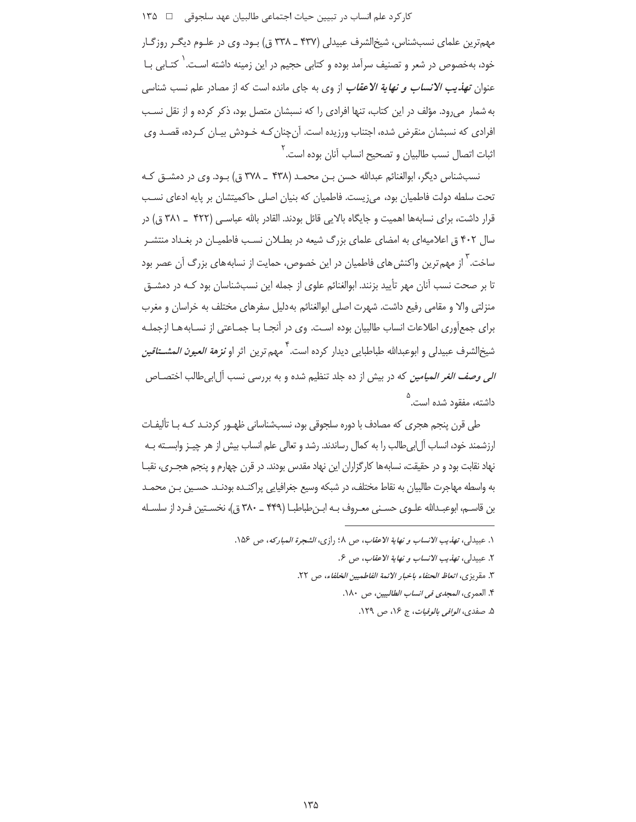کار کرد علم انساب در تبیین حیات اجتماعی طالبیان عهد سلجوقی ۔ □ ۱۳۵

مهمترین علمای نسبشناس، شیخالشرف عبیدلی (۴۳۷ ـ ۳۳۸ ق) بـود. وی در علـوم دیگـر روزگـار خود، بهخصوص در شعر و تصنیف سرآمد بوده و کتابی حجیم در این زمینه داشته اسـت. ٰ کتـابی بــا عنوان *تهذيب الانساب و نهاية الاعقاب* از وي به جاي مانده است كه از مصادر علم نسب شناسي به شمار می رود. مؤلف در این کتاب، تنها افرادی را که نسبشان متصل بود، ذکر کرده و از نقل نسـب افرادی که نسبشان منقرض شده، اجتناب ورزیده است. آن چنان کـه خـودش بیـان کـرده، قصـد وی اثبات اتصال نسب طالبیان و تصحیح انساب آنان بوده است.<sup>۲</sup>

نسبشناس دیگر، ابوالغنائم عبدالله حسن بـن محمـد (۴۳۸ \_ ۳۷۸ ق) بـود. وی در دمشــق کـه تحت سلطه دولت فاطمیان بود، میزیست. فاطمیان که بنیان اصلی حاکمیتشان بر پایه ادعای نسب قرار داشت، برای نسابهها اهمیت و جایگاه بالایی قائل بودند. القادر بالله عباسبی (۴۲۲ \_ ۳۸۱ ق) در سال ۴۰۲ ق اعلامیهای به امضای علمای بزرگ شیعه در بطلان نسب فاطمیـان در بغـداد منتشـر ساخت.<sup>۲</sup> از مهم ترین واکنش های فاطمیان در این خصوص، حمایت از نسابه های بزرگ آن عصر بود تا بر صحت نسب آنان مهر تأیید بزنند. ابوالغنائم علوی از جمله این نسبشناسان بود کـه در دمشـق منزلتی والا و مقامی رفیع داشت. شهرت اصلی ابوالغنائم به دلیل سفرهای مختلف به خراسان و مغرب براي جمع[ّوري اطلاعات انساب طالبيان بوده اسـت. وي در أنجـا بـا جمـاعتي از نسـابه هـا ازجملـه شيخ|لشرف عبيدلي و ابوعبدالله طباطبابي ديدار كرده است. <sup>1</sup> مه<sub>م</sub> ترين اثر او **نزم***ة العبون المشــتاقين الی وصف الغر المیامین* که در بیش از ده جلد تنظیم شده و به بررسی نسب آل ابی طالب اختصــاص داشته، مفقود شده است.<sup>۵</sup>

طی قرن پنجم هجری که مصادف با دوره سلجوقی بود، نسبشناسانی ظهـور کردنـد کـه بـا تألیفـات ارزشمند خود، انساب آل|بی طالب را به کمال رساندند. رشد و تعالی علم انساب بیش از هر چیـز وابســته بـه نهاد نقابت بود و در حقیقت، نسابهها کارگزاران این نهاد مقدس بودند. در قرن چهارم و پنجم هجـری، نقبـا به واسطه مهاجرت طالبیان به نقاط مختلف، در شبکه وسیع جغرافیایی پراکنـده بودنـد. حسـین بـن محمـد بن قاسـم، ابوعبـدالله علـوى حسـنى معـروف بـه ابـنطباطبـا (۴۴۹ ـ ۳۸۰ ق)، نخسـتين فـرد از سلسـله

١. عبيدلي، تهذيب الانساب ونهاية الاعقاب، ص ١.١ رازي، الشجرة المباركه، ص ١٥۶.

٢. عبيدلي، تهذيب الانساب و نهاية الاعقاب، ص ٤.

٣. مقريزي، اتعاظ الحنفاء باخبار الائمة الفاطميين الخلفاء، ص ٢٢.

۴. العمري، *المجدي في انساب الطالبيين*، ص ١٨٠.

۵. صفدي، *الوافي بالوفيات*، ج ۱۶، ص ۱۲۹.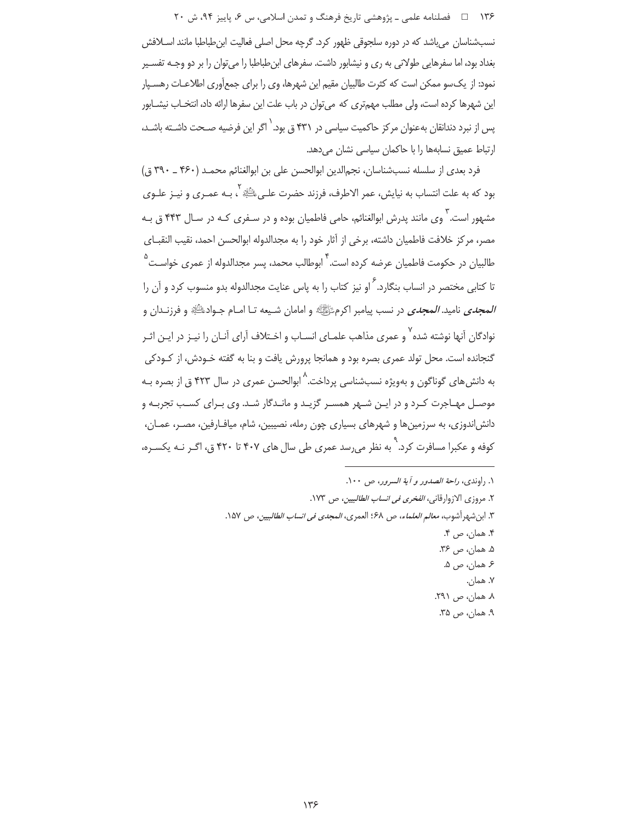۱۳۶ = 1 فصلنامه علمي ـ یژوهشي تاریخ فرهنگ و تمدن اسلامي، س ۶، پاییز ۹۴، ش ۲۰

نسبشناسان مے باشد که در دورہ سلجوقی ظهور کرد. گرچه محل اصلی فعالیت ابن طباطبا مانند اسـلافش بغداد بود، اما سفرهایی طولانی به ری و نیشابور داشت. سفرهای ابنِ طباطبا را میٍتوان را بر دو وجـه تفسـیر نمود: از یک سو ممکن است که کثرت طالبیان مقیم این شهرها، وی را برای جمعآوری اطلاعـات رهسـپار این شهرها کرده است، ولی مطلب مهمتری که میتوان در باب علت این سفرها ارائه داد، انتخـاب نیشـابور یس از نبرد دندانقان بهعنوان مرکز حاکمیت سیاسی در ۴۳۱ ق بود. <sup>(</sup> اگر این فرضیه صـحت داشــته باشــد، ارتباط عمیق نسابهها را با حاکمان سیاسی نشان می دهد.

فرد بعدی از سلسله نسبشناسان، نجمالدین ابوالحسن علی بن ابوالغنائم محمـد (۴۶۰ ـ ۳۹۰ ق) بود که به علت انتساب به نیایش، عمر الاطرف، فرزند حضرت علـی اللَّهُ آ، بـه عمـری و نیـز علـوی مشهور است. <sup>۲</sup> وی مانند پدرش ابوالغنائم، حامی فاطمیان بوده و در سـفری کـه در سـال ۴۴۳ ق بـه مصر، مركز خلافت فاطميان داشته، برخي از آثار خود را به مجدالدوله ابوالحسن احمد، نقيب النقبـاي طالبیان در حکومت فاطمیان عرضه کرده است.<sup>۴</sup> ابوطالب محمد، پسر مجدالدوله از عمری خواسـت<sup>۵</sup> تا کتابے مختصر در انساب بنگارد.<sup>۶</sup> او نیز کتاب را به پاس عنایت مجدالدوله بدو منسوب کرد و آن را *المجدى* ناميد. *المجدى* در نسب پيامبر اكرمﷺ و امامان شـيعه تــا امــام جـوادﷺ و فرزنــدان و نوادگان آنها نوشته شده<sup>۷</sup> و عمری مذاهب علمـای انسـاب و اخـتلاف آرای آنـان را نیـز در ایـن اثـر گنجانده است. محل تولد عمري بصره بود و همانجا پرورش يافت و بنا به گفته خـودش، از كـودكي به دانشهای گوناگون و بهویژه نسبشناسی پرداخت.<sup>۸</sup> ابوالحسن عمری در سال ۴۲۳ ق از بصره بـه موصـل مهـاجرت كـرد و در ايـن شـهر همسـر گزيـد و مانـدگار شـد. وي بـراي كسـب تجربـه و دانش|ندوزی، به سرزمینها و شهرهای بسیاری چون رمله، نصیبین، شام، میاف|رفین، مصـر، عمـان، کوفه و عکبرا مسافرت کرد. <sup>۹</sup> به نظر می رسد عمری طی سال های ۴۰۷ تا ۴۲۰ ق، اگـر نـه یکسـره،

> ١. راوندي، راحة الصدور و آية السرور، ص ١٠٠. ٢. مروزي الازوارقاني، *الفخري في انساب الطالبيين*، ص ١٧٣. ٣. ابن شهر آشوب، م*عالم العلماء*، ص ٤٨؛ العمري، *المجدي في انساب الطالبيين*، ص ١۵٧. ۴. همان، ص ۴. ۵. همان، ص ۳۶. ۶ همان، ص ۵. ٧. همان. ٨. همان، ص ٢٩١. ۹. همان، ص ۳۵.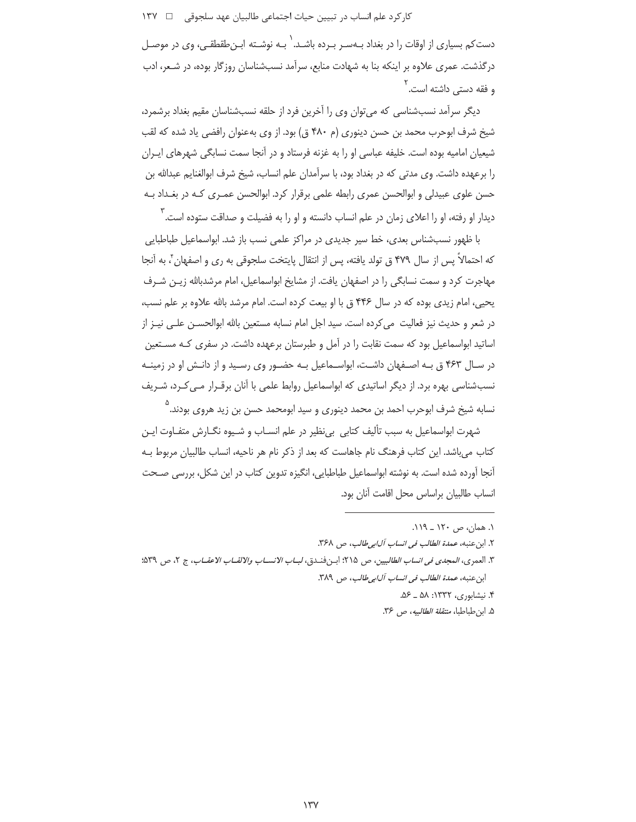دست کم بسیاری از اوقات را در بغداد بـهسـر بـرده باشـد. ٰ بـه نوشـته ابـنِ طقطقـی، وی در موصـل درگذشت. عمری علاوه بر اینکه بنا به شهادت منابع، سرآمد نسبشناسان روزگار بوده، در شـعر، ادب و فقه دستے واشته است. `

دیگر سرآمد نسبشناسی که می توان وی را آخرین فرد از حلقه نسبشناسان مقیم بغداد برشمرد، شیخ شرف ابوحرب محمد بن حسن دینوری (م ۴۸۰ ق) بود. از وی بهعنوان رافضی یاد شده که لقب شیعیان امامیه بوده است. خلیفه عباسی او را به غزنه فرستاد و در آنجا سمت نسابگی شهرهای ایـران را برعهده داشت. وی مدتی که در بغداد بود، با سرآمدان علم انساب، شیخ شرف ابوالغنایم عبدالله بن حسن علوی عبیدلی و ابوالحسن عمری رابطه علمی برقرار کرد. ابوالحسن عمـری کـه در بغـداد بـه دیدار او رفته، او را اعلای زمان در علم انساب دانسته و او را به فضیلت و صداقت ستوده است. <sup>'</sup>

با ظهور نسبشناس بعدی، خط سیر جدیدی در مراکز علمی نسب باز شد. ابواسماعیل طباطبایی كه احتمالاً يس از سال ۴۷۹ ق تولد يافته، پس از انتقال پايتخت سلجوقى به ري و اصفهان ً، به آنجا مهاجرت کرد و سمت نسابگی را در اصفهان یافت. از مشایخ ابواسماعیل، امام مرشدبالله زیـن شـرف یحیی، امام زیدی بوده که در سال ۴۴۶ ق با او بیعت کرده است. امام مرشد بالله علاوه بر علم نسب، در شعر و حدیث نیز فعالیت می کرده است. سید اجل امام نسابه مستعین بالله ابوالحســن علــی نیــز از اساتید ابواسماعیل بود که سمت نقابت را در آمل و طبرستان برعهده داشت. در سفری کـه مسـتعین در سـال ۴۶۳ ق بـه اصـفهان داشـت، ابواسـماعیل بـه حضـور وی رسـید و از دانـش او در زمینـه نسبشناسی بهره برد. از دیگر اساتیدی که ابواسماعیل روابط علمی با آنان برقـرار مـی کـرد، شـریف نسابه شیخ شرف ابوحرب احمد بن محمد دینوری و سید ابومحمد حسن بن زید هروی بودند.<sup>۵</sup>

شهرت ابواسماعیل به سبب تألیف کتابی بیiظیر در علم انسـاب و شـیوه نگــارش متفــاوت ایــن کتاب می باشد. این کتاب فرهنگ نام جاهاست که بعد از ذکر نام هر ناحیه، انساب طالبیان مربوط بـه آنجا آورده شده است. به نوشته ابواسماعیل طباطبایی، انگیزه تدوین کتاب در این شکل، بررسی صـحت انساب طالبيان براساس محل اقامت آنان بود.

١. همان، ص ١٢٠ \_ ١١٩.

۴. نیشابوری، ۱۳۳۲: ۵۸ ـ ۵۶.

۵. ابن طباطبا، *منتقلة الطالبيه*، ص ۳۶.

٢. ابن عنبه، عم*دة الطالب في انساب آل ابي طالب*، ص ٣۶٨.

٣. العمري، *المجدي في انساب الطالبيين*، ص ٢١۵؛ ابـن فنـدق، *لبــاب الانســاب والالقــاب الاعقــاب*، ج ٢، ص ٤٣٩؛ ابن عنبه، *عمدة الطالب في انساب آلابي طالب*، ص ٣٨٩.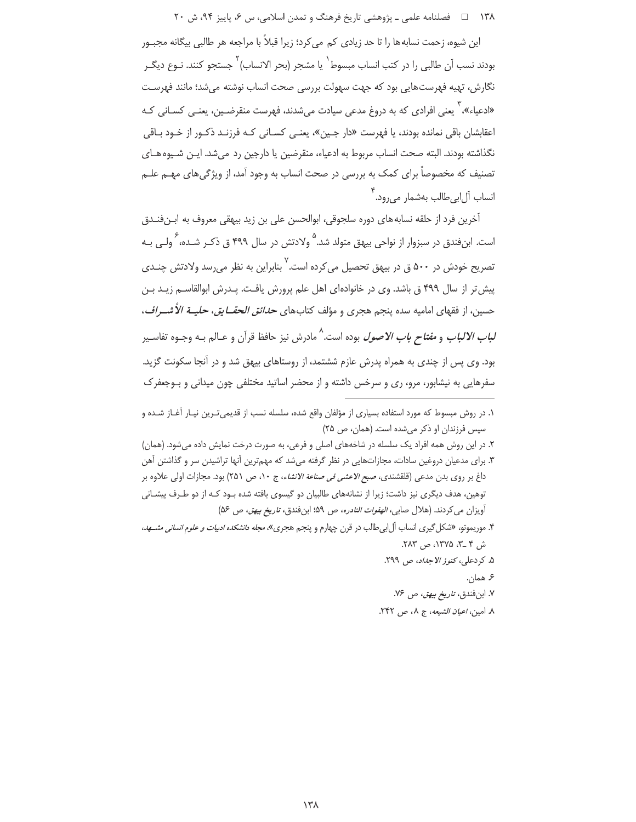۱۳۸ = هصلنامه علمی ـ یژوهشی تاریخ فرهنگ و تمدن اسلامی، س ۶، پاییز ۹۴، ش ۲۰

این شیوه، زحمت نسابه ها را تا حد زیادی کم می کرد؛ زیرا قبلاً با مراجعه هر طالبی بیگانه مجبـور بودند نسب آن طالبي را در كتب انساب مبسوط` يا مشجر (بحر الانساب)` جستجو كنند. نـوع ديگـر نگارش، تهیه فهرستهایی بود که جهت سهولت بررسی صحت انساب نوشته میشد؛ مانند فهرست «ادعیاء»، ` یعنی افرادی که به دروغ مدعی سیادت می شدند، فهرست منقرضـین، یعنـی کسـانی کـه اعقابشان باقی نماندہ بودند، یا فھرست «دار جبین»، یعنے کسـانی کـه فرزنـد ذکـور از خـود بـاقی نگذاشته بودند. البته صحت انساب مربوط به ادعیاء، منقرضین یا دارجین رد میشد. ایـن شـیوه هـای تصنیف که مخصوصاً برای کمک به بررسی در صحت انساب به وجود آمد، از ویژگی های مهــم علــم انساب آل|بي طالب بهشمار مي رود.<sup>۲</sup>

آخرين فرد از حلقه نسابههاي دوره سلجوقي، ابوالحسن على بن زيد بيهقي معروف به ابـنفنـدق است. ابنفندق در سبزوار از نواحی بیهق متولد شد.<sup>۵</sup> ولادتش در سال ۴۹۹ ق ذکـر شـده، <sup>۶</sup> ولـی بـه تصریح خودش در ۵۰۰ ق در بیهق تحصیل میکرده است.<sup>۷</sup> بنابراین به نظر می<sub>ا</sub>رسد ولادتش چ*نـدی* پیش تر از سال ۴۹۹ ق باشد. وی در خانوادهای اهل علم پرورش یافت. پـدرش ابوالقاسـم زیـد بـن حسین، از فقهای امامیه سده پنجم هجری و مؤلف کتابهای *حدائق الحقــایق، حلیــة الأشــراف*، *لباب الالباب و مفتاح باب الاصول* بوده است.<sup>۸</sup> مادرش نیز حافظ قرآن و عـالم بـه وجـوه تفاسـير بود. وي پس از چندي به همراه پدرش عازم ششتمد، از روستاهاي بيهق شد و در آنجا سكونت گزيد. سفرهایی به نیشابور، مرو، ری و سرخس داشته و از محضر اساتید مختلفی چون میدانی و بـوجعفرک

۱. در روش مبسوط که مورد استفاده بسیاری از مؤلفان واقع شده، سلسله نسب از قدیمیترین نیـار آغـاز شـده و سپس فرزندان او ذکر میشده است. (همان، ص ۲۵)

۲. در این روش همه افراد یک سلسله در شاخههای اصلی و فرعی، به صورت درخت نمایش داده میشود. (همان) ۳. برای مدعیان دروغین سادات، مجازاتهایی در نظر گرفته میشد که مهمترین آنها تراشیدن سر و گذاشتن آهن داغ بر روى بدن مدعى (قلقشندى، صب*ح الاعشى فى صناعة الانشاء*، ج ١٠، ص ٢۵١) بود. مجازات اولى علاوه بر توهین، هدف دیگری نیز داشت؛ زیرا از نشانههای طالبیان دو گیسوی بافته شده بـود کـه از دو طـرف پیشـانی أويزان مي كردند. (هلال صابي، *الهفوات النادره*، ص ۵۹؛ ابن فندق، ت*اريخ بيهق، ص ۵۶*)

۴. موریموتو، «شکل گیری انساب آل ابی طالب در قرن چهارم و پنجم هجری»، *مجله دانشکده ادبیات و علوم انسانی مشسهد*، ش ۴ \_۳، ۱۳۷۵، ص ۲۸۳.

۵. كردعلى، كنوز الاجداد، ص ٢٩٩.

۶ همان.

٧. ابن فندق، *تاريخ بيهق*، ص ٧۶.

٨. امين، اعي*ان الشيعه*، ج ٨، ص ٢۴٢.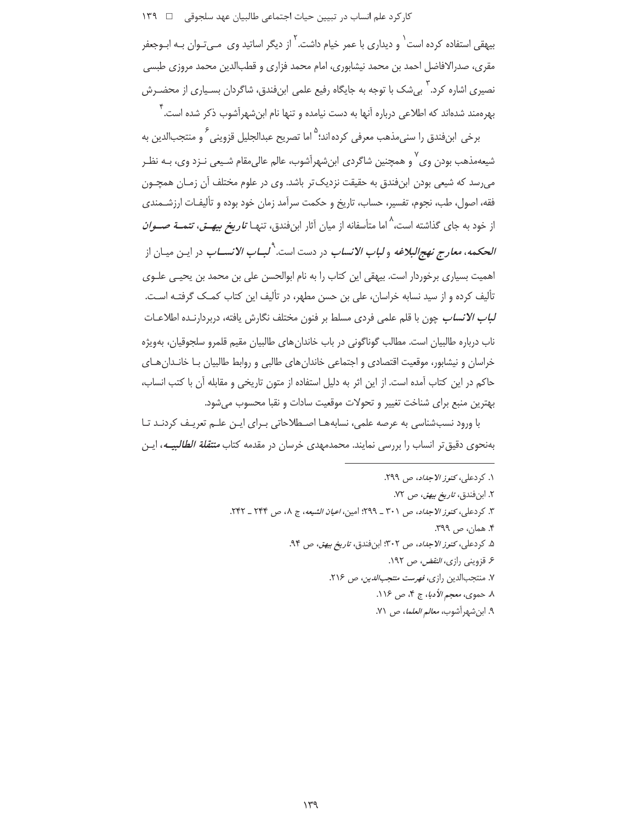کار کرد علم انساب در تبیین حیات اجتماعی طالبیان عهد سلجوقی ہے ١٣٩

بیهقی استفاده کرده است <sup>۱</sup> و دیداری با عمر خیام داشت. <sup>۲</sup> از دیگر اساتید وی مــ<sub>ی</sub>تـوان بـه ابـوجعفر مقری، صدرالافاضل احمد بن محمد نیشابوری، امام محمد فزاری و قطبالدین محمد مروزی طبسی نصیری اشاره کرد. ٰ بیشک با توجه به جایگاه رفیع علمی ابنِفندق، شاگردان بسـیاری از محضـرش بهرهمند شدهاند که اطلاعی درباره آنها به دست نیامده و تنها نام ابن شهرآشوب ذکر شده است. ٔ

برخي ابنفندق را سني،مذهب معرفي كرده اند؛<sup>۵</sup> اما تصريح عبدالجليل قزويني ً و منتجبالدين به شیعهمذهب بودن وی ْ و همچنین شاگردی ابن شهرآشوب، عالم عالی مقام شـیعی نـزد وی، بـه نظـر می رسد که شیعی بودن ابن فندق به حقیقت نزدیک تر باشد. وی در علوم مختلف آن زمـان همچــون فقه، اصول، طب، نجوم، تفسیر، حساب، تاریخ و حکمت سرآمد زمان خود بوده و تألیفـات ارزشـمندی از خود به جای گذاشته است،<sup>^</sup> اما متأسفانه از میان آثار ابنفندق، تنهـا *تاریخ بیهــق، تتمــة صــوان الحكمه، معارج نهجالبلاغه و لباب الانساب* در دست است.<sup>9</sup>ل*بــاب الانســاب* در ايــن ميــان از اهمیت بسیاری برخوردار است. بیهقی این کتاب را به نام ابوالحسن علی بن محمد بن یحیـی علـوی تألیف کرده و از سید نسابه خراسان، علی بن حسن مطهر، در تألیف این کتاب کمک گرفتـه اسـت. ل*باب الانساب* چون با قلم علمی فردی مسلط بر فنون مختلف نگارش یافته، دربردارنـده اطلاعـات ناب درباره طالبیان است. مطالب گوناگونی در باب خاندان های طالبیان مقیم قلمرو سلجوقیان، بهویژه خراسان و نیشابور، موقعیت اقتصادی و اجتماعی خاندان های طالبی و روابط طالبیان بـا خانـدان هـای حاکم در این کتاب آمده است. از این اثر به دلیل استفاده از متون تاریخی و مقابله آن با کتب انساب، بهترين منبع براي شناخت تغيير و تحولات موقعيت سادات و نقبا محسوب مي شود.

با ورود نسبشناسی به عرصه علمی، نسابههـا اصـطلاحاتی بـرای ایـن علـم تعریـف کردنـد تـا بهنحوی دقیق تر انساب را بررسی نمایند. محمدمهدی خرسان در مقدمه کتاب *منتقلة الطالبیــه*، ایـن

> ١. كردعلى، كنوز الاجداد، ص ٢٩٩. ۲. ابنفندق، *تاريخ بيهق*، ص ۷۲. ٣. كردعلي، *كنوز الاجداد*، ص ٣٠١ \_ ٢٩٩؛ امين، *اعيان الشيعه*، ج ٨، ص ٢۴٣ \_ ٢۴٢. ۴. همان، ص ۳۹۹. ۵. كردعلى، كنوز الاجداد، ص ٣٠٢: ابن فندق، تاريخ بيهق، ص ٩٣. ۶. قزوینی راز*ی، النقض،* ص ۱۹۲. ۷. منتجبالدین رازی، *فهرست منتجب الدین*، ص ۲۱۶. ٨. حموي، معجم الأدبا، ج ۴، ص ١١۶. ٩. ابن شهر آشوب، معالم العلما، ص ٧١.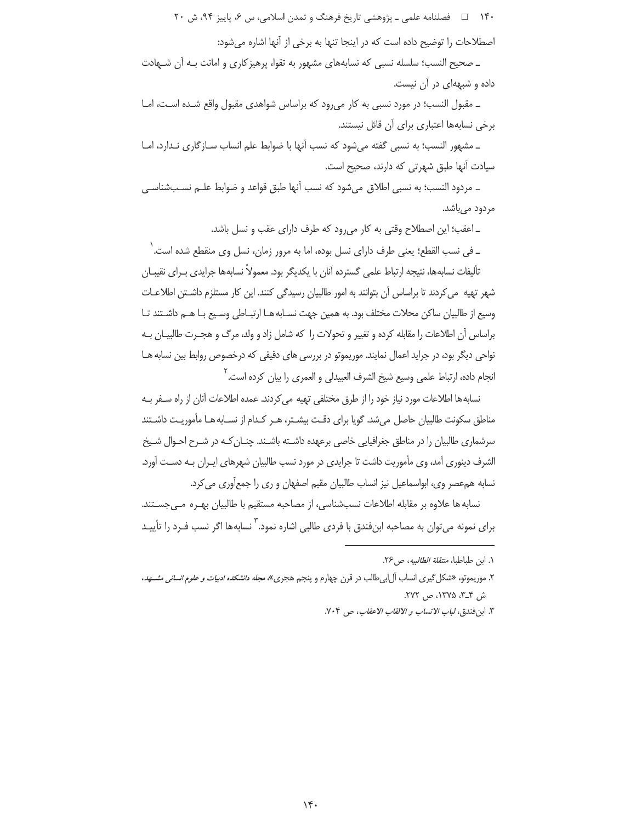۱۴۰ = ه فصلنامه علمي ـ پژوهشي تاريخ فرهنگ و تمدن اسلامي، س ۶، پاييز ۹۴، ش ۲۰

اصطلاحات را توضیح داده است که در اینجا تنها به برخی از آنها اشاره می شود:

\_ صحيح النسب؛ سلسله نسبي كه نسابههاي مشهور به تقوا، پرهيز كاري و امانت بـه آن شـهادت داده و شیههای در آن نیست.

ـ مقبول النسب؛ در مورد نسبی به کار می رود که براساس شواهدی مقبول واقع شده است، امـا برخی نسابهها اعتباری برای آن قائل نیستند.

ـ مشهور النسب؛ به نسبی گفته می شود که نسب آنها با ضوابط علم انساب سـازگاری نـدارد، امـا سیادت آنها طبق شهرتی که دارند، صحیح است.

\_ مردود النسب؛ به نسبي اطلاق ميشود كه نسب أنها طبق قواعد و ضوابط علـم نسـبـشناسـي مردود مے باشد.

ـ اعقب؛ این اصطلاح وقتی به کار می رود که طرف دارای عقب و نسل باشد.

\_ في نسب القطع؛ يعني طرف داراي نسل بوده، اما به مرور زمان، نسل وي منقطع شده است. ` تأليفات نسابهها، نتيجه ارتباط علمي گسترده آنان با يكديگر بود. معمولاً نسابهها جرايدي بـراي نقيبـان شهر تهیه ًمی کردند تا براساس آن بتوانند به امور طالبیان رسیدگی کنند. این کار مستلزم داشــتن اطلاعــات وسیع از طالبیان ساکن محلات مختلف بود. به همین جهت نسـابه هـا ارتبـاطی وسـیع بـا هـم داشـتند تـا براساس آن اطلاعات را مقابله کرده و تغییر و تحولات را که شامل زاد و ولد، مرگ و هجـرت طالبیـان بـه نواحی دیگر بود، در جراید اعمال نمایند. موریموتو در بررسی های دقیقی که درخصوص روابط بین نسابه هـا انجام داده، ارتباط علمي وسيع شيخ الشرف العبيدلي و العمري را بيان كرده است. `

نسابه ها اطلاعات مورد نیاز خود را از طرق مختلفی تهیه می کردند. عمده اطلاعات آنان از راه سـفر بـه مناطق سكونت طالبیان حاصل می شد. گویا برای دقـت بیشـتر، هـر كـدام از نسـابه هـا مأموریـت داشـتند سرشماری طالبیان را در مناطق جغرافیایی خاصی برعهده داشـته باشـند. چنـان کـه در شـرح احـوال شـیخ الشرف دینوری آمد، وی مأموریت داشت تا جرایدی در مورد نسب طالبیان شهرهای ایـران بـه دسـت آورد. نسابه همءصر وي، ابواسماعيل نيز انساب طالبيان مقيم اصفهان و ري را جمعآوري مي كرد.

نسابه ها علاوه بر مقابله اطلاعات نسبشناسی، از مصاحبه مستقیم با طالبیان بهـره مـی جسـتند. ِ برای نمونه مے توان به مصاحبه ابن فندق با فردی طالبے اشاره نمود. <sup>۳</sup> نسابهها اگر نسب فـرد را تأییــد

١. ابن طباطبا، *منتقلة الطالبيه*، ص ٢۶.

۲. موريموتو، «شكل گيري انساب آل ابي طالب در قرن چهارم و پنجم هجري»، *مجله دانشكده ادبيات و علوم انساني مشسهد*، ش ۳\_۳، ۱۳۷۵، ص ۲۷۲.

٣. ابن فندق، لب*اب الانساب و الالقاب الاعقاب*، ص ٧٠۴.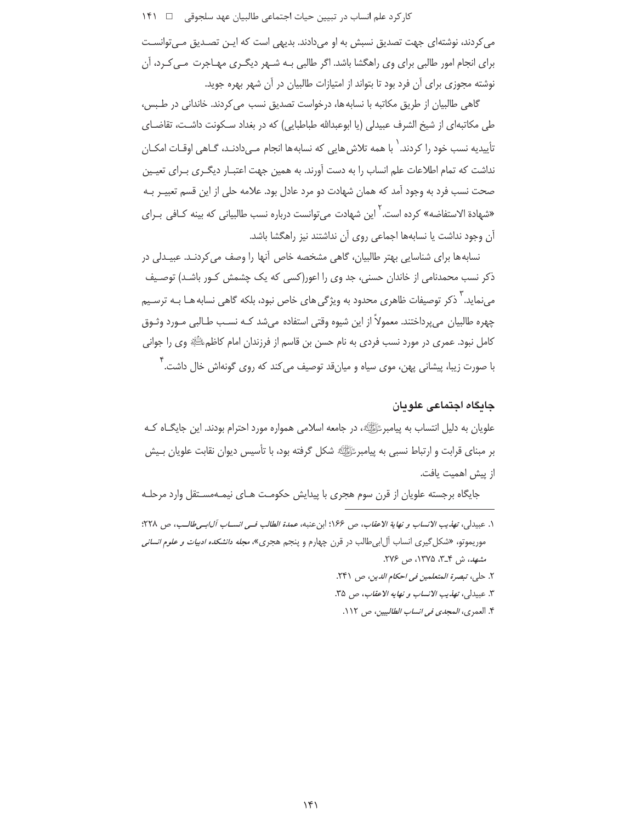می کردند، نوشتهای جهت تصدیق نسبش به او میدادند. بدیهی است که ایـن تصـدیق مـی توانسـت برای انجام امور طالبی برای وی راهگشا باشد. اگر طالبی بـه شـهر دیگـری مهـاجرت مـی کـرد، آن نوشته مجوزی برای آن فرد بود تا بتواند از امتیازات طالبیان در آن شهر بهره جوید.

گاهی طالبیان از طریق مکاتبه با نسابه ها، درخواست تصدیق نسب می کردند. خاندانی در طـبس، طی مکاتبهای از شیخ الشرف عبیدلی (یا ابوعبدالله طباطبایی) که در بغداد سـکونت داشـت، تقاضـای تأسدبه نسب خود ٫۱ کردند. ٰ با همه تلاش ٖهایی ٖ که نسابه ها انجام مـی‹دادنـد، گـاهی اوقـات امکـان نداشت که تمام اطلاعات علم انساب را به دست آورند. به همین جهت اعتبـار دیگـری بـرای تعیـین صحت نسب فرد به وجود آمد که همان شهادت دو مرد عادل بود. علامه حلی از این قسم تعبیـر بـه «شهادة الاستفاضه» کرده است. <sup>۲</sup> این شهادت می توانست درباره نسب طالبیانی که بینه کـافی بـرای آن وجود نداشت یا نسابهها اجماعی روی آن نداشتند نیز راهگشا باشد.

نسابه ها برای شناسایی بهتر طالبیان، گاهی مشخصه خاص آنها را وصف می کردنـد. عبیـدلی در ذکر نسب محمدنامی از خاندان حسنی، جد وی را اعور(کسی که یک چشمش کـور باشـد) توصـیف می نماید. ` ذکر توصیفات ظاهری محدود به ویژگی های خاص نبود، بلکه گاهی نسابه هـا بـه ترسـیم چهره طالبیان میپرداختند. معمولاً از این شیوه وقتی استفاده میشد کـه نسـب طـالبی مـورد وثـوق كامل نبود. عمري در مورد نسب فردي به نام حسن بن قاسم از فرزندان امام كاظمﷺ وي را جواني با صورت زیبا، پیشانی پهن، موی سیاه و میانقد توصیف می کند که روی گونهاش خال داشت.<sup>۴</sup>

# حائكاه اجتماعي علويان

علویان به دلیل انتساب به پیامبرﷺ، در جامعه اسلامی همواره مورد احترام بودند. این جایگـاه کـه بر مبنای قرابت و ارتباط نسبی به پیامبر ﷺ شکل گرفته بود، با تأسیس دیوان نقابت علویان بـیش از پیش اهمیت یافت.

جایگاه برجسته علویان از قرن سوم هجری با پیدایش حکومت هـای نیمـهمسـتقل وارد مرحلـه

٢. حلي، تبصرة المتعلمين في احكام الدين، ص ٢۴١.

- ٣. عبيدلي، تهذيب الانساب و نهايه الاعقاب، ص ٣٥.
- ۴. العمري، *المجدي في انساب الطالبيين*، ص ١١٢.

١. عبيدلي، تهذيب الانساب و نهاية الاعقاب، ص ١۶۶: ابن عنبه، عمدة الطالب في انســاب آل ابـي طالـب، ص ٢٢٨: موریموتو، «شکل گیری انساب آل ابی طالب در قرن چهارم و پنجم هجری»، *مجله دانشکده ادبیات و علوم انسانی* مشهد، ش ۳\_۳، ۱۳۷۵، ص ۲۷۶.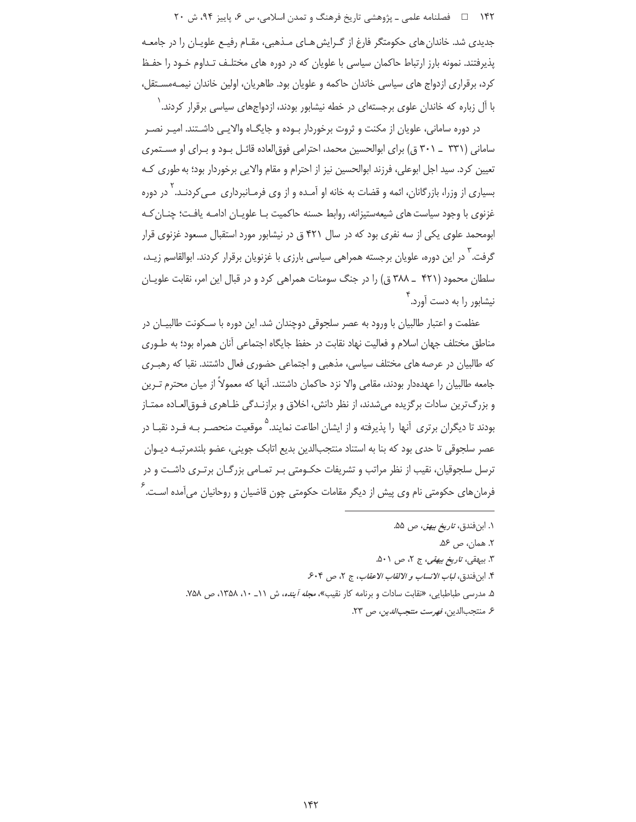۱۴۲ = د فصلنامه علمي ـ یژوهشي تاریخ فرهنگ و تمدن اسلامي، س ۶، پاییز ۹۴، ش ۲۰ جدیدی شد. خاندان های حکومتگر فارغ از گـرایش هـای مـذهبی، مقـام رفیـع علویـان را در جامعـه پذیرفتند. نمونه بارز ارتباط حاکمان سیاسی با علویان که در دوره های مختلـف تـداوم خـود را حفـظ کرد، برقراری ازدواج های سیاسی خاندان حاکمه و علویان بود. طاهریان، اولین خاندان نیمـهمسـتقل، با آل زباره که خاندان علوی برجستهای در خطه نیشابور بودند، ازدواجهای سیاسی برقرار کردند. ٰ

در دوره سامانی، علویان از مکنت و ثروت برخوردار بـوده و جایگــاه والایــی داشــتند. امیـر نصـر سامانی (۳۳۱ \_ ۳۰۱ ق) برای ابوالحسین محمد، احترامی فوق|لعاده قائـل بـود و بـرای او مسـتمری تعیین کرد. سید اجل ابوعلی، فرزند ابوالحسین نیز از احترام و مقام والایی برخوردار بود؛ به طوری کـه بسیاری از وزرا، بازرگانان، ائمه و قضات به خانه او آمـده و از وی فرمـانبرداری مـی کردنـد. <sup>۱</sup> در دوره غزنوی با وجود سیاست های شیعهستیزانه، روابط حسنه حاکمیت بـا علویـان ادامـه یافـت؛ چنـان کـه ابومحمد علوی یکی از سه نفری بود که در سال ۴۲۱ ق در نیشابور مورد استقبال مسعود غزنوی قرار گرفت. <sup>۱</sup> در این دوره، علویان برجسته همراهی سیاسی بارزی با غزنویان برقرار کردند. ابوالقاسم زیـد، سلطان محمود (۴۲۱ \_ ۳۸۸ ق) را در جنگ سومنات همراهی کرد و در قبال این امر، نقابت علویـان نیشابور را به دست آورد. ۲

عظمت و اعتبار طالبیان با ورود به عصر سلجوقی دوچندان شد. این دوره با سـکونت طالبیـان در مناطق مختلف جهان اسلام و فعالیت نهاد نقابت در حفظ جایگاه اجتماعی آنان همراه بود؛ به طـوری که طالبیان در عرصه های مختلف سیاسی، مذهبی و اجتماعی حضوری فعال داشتند. نقبا که رهبـری جامعه طالبیان را عهدهدار بودند، مقامی والا نزد حاکمان داشتند. آنها که معمولاً از میان محترم تـرین و بزرگ ترین سادات برگزیده میشدند، از نظر دانش، اخلاق و برازنـدگی ظـاهری فـوق|لعـاده ممتـاز بودند تا دیگران برتری آنها را پذیرفته و از ایشان اطاعت نمایند.<sup>۵</sup> موقعیت منحصـر بـه فـرد نقبـا در عصر سلجوقي تا حدي بود كه بنا به استناد منتجبالدين بديع اتابک جويني، عضو بلندمرتبـه ديـوان ترسل سلجوقیان، نقیب از نظر مراتب و تشریفات حکـومتی بـر تمـامی بزرگـان برتـری داشـت و در فرمان های حکومتی نام وی پیش از دیگر مقامات حکومتی چون قاضیان و روحانیان می آمده اسـت.<sup>۶</sup>

- ۳. بیهقی، *تاریخ بیهقی*، ج ۲، ص ۵۰۱.
- ۴. ابن فندق، لباب الانساب و الالقاب الاعقاب، ج ٢، ص ۶۰۴.
- ۵. مدرسی طباطبایی، «نقابت سادات و برنامه کار نقیب»، *مجله آینده*، ش ۱۱\_ ۱۰، ۱۳۵۸، ص ۷۵۸.
	- ع منتجب الدين، فهرست منتجب *الدين*، ص ٢٣.

۱. ابنفندق، *تاريخ بيهق*، ص ۵۵.

٢. همان، ص ۵۶.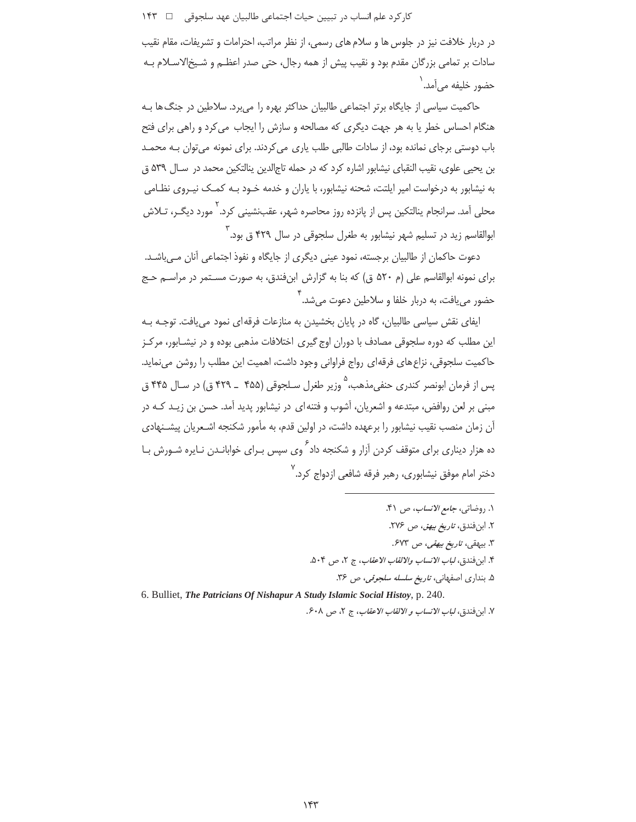در دربار خلافت نیز در جلوس ها و سلام های رسمی، از نظر مراتب، احترامات و تشریفات، مقام نقیب سادات بر تمامی بزرگان مقدم بود و نقیب پیش از همه رجال، حتی صدر اعظـم و شـیخالاسـلام بـه حضور خليفه مے آمد. '

حاکمیت سیاسی از جایگاه برتر اجتماعی طالبیان حداکثر بهره را می برد. سلاطین در جنگ ها بـه هنگام احساس خطر یا به هر جهت دیگری که مصالحه و سازش را ایجاب می کرد و راهی برای فتح باب دوستی برجای نمانده بود، از سادات طالبی طلب پاری می کردند. برای نمونه می توان بـه محمـد بن يحيى علوى، نقيب النقباي نيشابور اشاره كرد كه در حمله تاجالدين ينالتكين محمد در سـال ۵۳۹ ق به نیشابور به درخواست امیر ایلتت، شحنه نیشابور، با پاران و خدمه خـود بـه کمـک نیـروی نظـامی .<br>محلی آمد. سرانجام پنالتکین پس از پانزده روز محاصره شهر، عقبنشینی کرد. ۲ مورد دیگی، تـلاش ابوالقاسم زید در تسلیم شهر نیشابور به طغرل سلجوقی در سال ۴۲۹ ق بود. ۳

دعوت حاكمان از طالبيان برجسته، نمود عيني ديگري از جايگاه و نفوذ اجتماعي آنان مے،باشـد. برای نمونه ابوالقاسم علی (م ۵۲۰ ق) که بنا به گزارش ابنفندق، به صورت مسـتمر در مراسـم حـج حضور مے یافت، به دربار خلفا و سلاطین دعوت مے شد. <sup>۴</sup>

ایفای نقش سیاسی طالبیان، گاه در پایان بخشیدن به منازعات فرقه ای نمود می یافت. توجـه بـه این مطلب که دوره سلجوقی مصادف با دوران اوج گیری اختلافات مذهبی بوده و در نیشـابور، مرکـز حاکمیت سلجوقی، نزاع های فرقهای رواج فراوانی وجود داشت، اهمیت این مطلب را روشن می نماید. پس از فرمان ابونصر کندری حنفی،مذهب، °وزیر طغرل سـلجوقی (۴۵۵ ــ ۴۲۹ ق) در سـال ۴۴۵ ق مبنی بر لعن روافض، مبتدعه و اشعریان، آشوب و فتنه ای در نیشابور پدید آمد. حسن بن زیـد کـه در آن زمان منصب نقیب نیشابور را برعهده داشت، در اولین قدم، به مأمور شکنجه اشـعریان پیشـنهادی ده هزار دیناری برای متوقف کردن آزار و شکنجه داد<sup>۶</sup> وی سپس بـرای خوابانـدن نـایره شـورش بـا .<br>دختر امام موفق نیشابوری، رهبر فرقه شافعی ازدواج کرد.

- ١. روضاتي، جامع الانساب، ص ۴١.
	- ٢. ابن فندق، تاريخ بيهق، ص ٢٧۶.
	- ۳. بیهقی، *تاریخ بیهقی، ص* ۶۷۳.
- ۴. ابن فندق، *لباب الانساب والالقاب الاعقاب*، ج ٢، ص ۵۰۴.
	- ۵. بنداری اصفهانی، *تاریخ سلسله سلجوقی، ص* ۳۶.

6. Bulliet, The Patricians Of Nishapur A Study Islamic Social Histoy, p. 240. ٧. ابن فندق، لباب الانساب و الالقاب الاعقاب، ج ٢، ص ٤٠٨.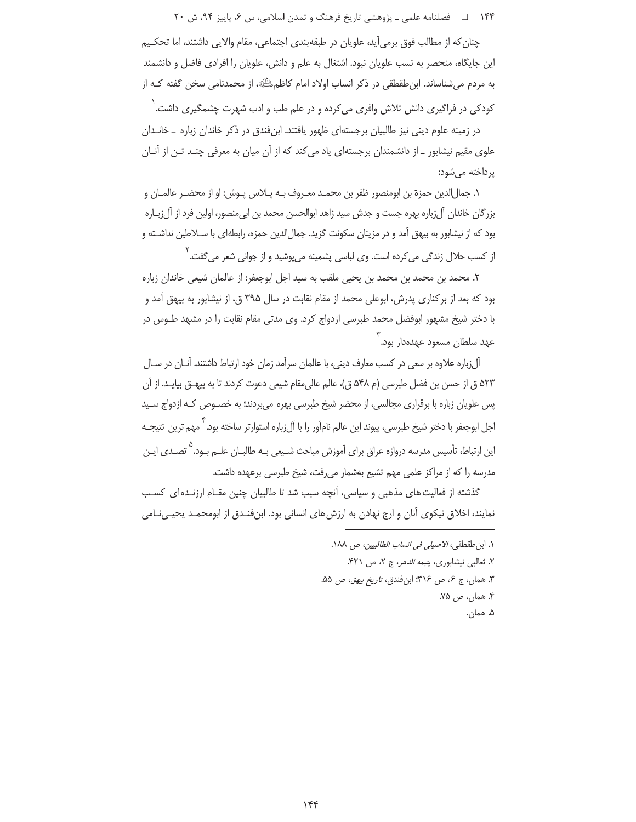۱۴۴ = هصلنامه علمی ـ یژوهشی تاریخ فرهنگ و تمدن اسلامی، س ۶، پاییز ۹۴، ش ۲۰

چنان که از مطالب فوق برمی آید، علویان در طبقهبندی اجتماعی، مقام والایی داشتند، اما تحکـیم این جایگاه، منحصر به نسب علویان نبود. اشتغال به علم و دانش، علویان را افرادی فاضل و دانشمند به مردم می شناساند. این طقطقی در ذکر انساب اولاد امام کاظمﷺ، از محمدنامی سخن گفته کـه از

کودکی در فراگیری دانش تلاش وافری می کرده و در علم طب و ادب شهرت چشمگیری داشت. ٰ در زمینه علوم دینی نیز طالبیان برجستهای ظهور یافتند. ابنفندق در ذکر خاندان زباره \_ خانـدان علوی مقیم نیشابور \_ از دانشمندان برجستهای یاد می کند که از آن میان به معرفی چنـد تـن از آنـان یر داخته می شود:

١. جمالالدين حمزة بن ابومنصور ظفر بن محمـد معـروف بــه پــلاس پــوش: او از محضــر عالمــان و بزرگان خاندان آل;باره بهره جست و جدش سید زاهد ابوالحسن محمد بن ابی منصور، اولین فرد از آل;باره بود که از نیشابور به بیهق آمد و در مزینان سکونت گزید. جمالالدین حمزه، رابطهای با سـلاطین نداشـته و از کسب حلال زندگی می کرده است. وی لباسی پشمینه می یوشید و از جوانی شعر می گفت.<sup>۲</sup>

٢. محمد بن محمد بن محمد بن يحيى ملقب به سيد اجل ابوجعفر: از عالمان شيعي خاندان زباره بود که بعد از برکناری پدرش، ابوعلی محمد از مقام نقابت در سال ۳۹۵ ق، از نیشابور به بیهق آمد و با دختر شیخ مشهور ابوفضل محمد طبرسی ازدواج کرد. وی مدتی مقام نقابت را در مشهد طـوس در م<br>عهد سلطان مسعود عهدهدار بود.

آلزباره علاوه بر سعی در کسب معارف دینی، با عالمان سرآمد زمان خود ارتباط داشتند. آنـان در سـال ۵۲۳ ق از حسن بن فضل طبرسی (م ۵۴۸ ق)، عالم عالی مقام شیعی دعوت کردند تا به بیهــق بیایــد. از آن پس علویان زباره با برقراری مجالسی، از محضر شیخ طبرسی بهره می بردند؛ به خصـوص کـه ازدواج سـید اجل ابوجعفر با دختر شیخ طبرسی، پیوند این عالم نام[َور را با آلiرباره استوارتر ساخته بود. " مهم ترین ِ نتیجــه این ارتباط، تأسیس مدرسه دروازه عراق برای آموزش مباحث شـیعی بـه طالبـان علـم بـود.<sup>۵</sup> تصـدی ایـن مدرسه را كه از مراكز علمي مهم تشيع بهشمار مىرفت، شيخ طبرسي برعهده داشت.

گذشته از فعالیت های مذهبی و سیاسی، آنچه سبب شد تا طالبیان چنین مقـام ارزنـده|ی کسـب نمایند، اخلاق نیکوی آنان و ارج نهادن به ارزشهای انسانی بود. ابنفنـدق از ابومحمـد یحیـیiطمی

> ١. ابن طقطقي، الاصيلي في انساب الطالبيين، ص ١٨٨. ٢. ثعالبي نيشابوري، يتيمه الدهر، ج ٢، ص ٣٢١. ٣. همان، ج ۶، ص ٣١۶؛ ابنفندق، *تاريخ بيهق، ص* ۵۵. ۴. همان، ص ۷۵. ۵. همان.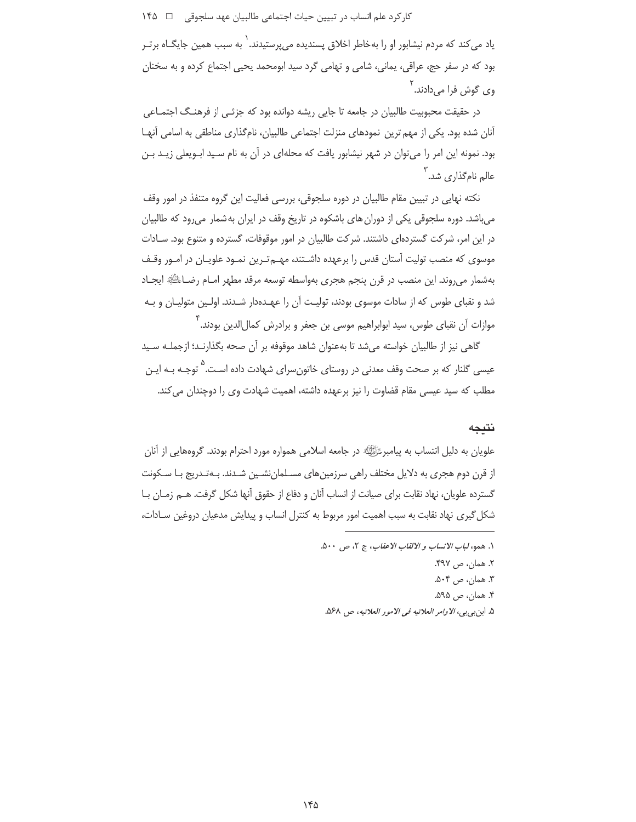کار کرد علم انساب در تبیین حیات اجتماعی طالبیان عهد سلجوقی ہے ۱۴۵

یاد می *ک*ند که مردم نیشابور او را بهخاطر اخلاق پسندیده می,پرستیدند.<sup>\</sup> به سبب همین جایگـاه برتـر بود که در سفر حج، عراقي، يماني، شامي و تهامي گرد سيد ابومحمد يحيي اجتماع کرده و به سخنان وي گوش فرا ميcادند. <sup>'</sup>

در حقیقت محبوبیت طالبیان در جامعه تا جایی ریشه دوانده بود که جزئے از فرهنگ اجتمـاعے ، آنان شده بود. یکی از مهم ترین نمودهای منزلت اجتماعی طالبیان، نامگذاری مناطقی به اسامی آنهـا بود. نمونه این امر را میتوان در شهر نیشابور یافت که محلهای در آن به نام سـید ابــویعلی زیــد بــن عالم نامگذاری شد. ۱

نکته نهایی در تبیین مقام طالبیان در دوره سلجوقی، بررسی فعالیت این گروه متنفذ در امور وقف می باشد. دوره سلجوقی یکی از دوران های باشکوه در تاریخ وقف در ایران به شمار می رود که طالبیان در این امر، شرکت گستردهای داشتند. شرکت طالبیان در امور موقوفات، گسترده و متنوع بود. سـادات موسوی که منصب تولیت آستان قدس را برعهده داشتند، مهـمترین نمـود علویـان در امـور وقـف بهشمار می روند. این منصب در قرن پنجم هجری بهواسطه توسعه مرقد مطهر امـام رضـاءللَّهِ ایجـاد شد و نقبای طوس که از سادات موسوی بودند، تولیت آن را عهـدهدار شـدند. اولـین متولیـان و بـه موازات آن نقبای طوس، سید ابوابراهیم موسی بن جعفر و برادرش کمال|لدین بودند. ``

گاهی نیز از طالبیان خواسته میشد تا بهعنوان شاهد موقوفه بر آن صحه بگذارنـد؛ ازجملـه سـید عیسی گلنار که بر صحت وقف معدنی در روستای خاتون سرای شهادت داده اسـت.<sup>۵</sup> توجـه بــه ایـن مطلب که سید عیسی مقام قضاوت را نیز برعهده داشته، اهمیت شهادت وی را دوچندان می کند.

# نتيجه

علويان به دليل انتساب به پيامبرﷺ در جامعه اسلامي همواره مورد احترام بودند. گروههايي از آنان از قرن دوم هجری به دلایل مختلف راهی سرزمینهای مسـلمانِنشـین شـدند. بـهتـدریج بـا سـکونت گسترده علویان، نهاد نقابت برای صیانت از انساب آنان و دفاع از حقوق آنها شکل گرفت. هـم زمـان بـا شکل گیری نهاد نقابت به سبب اهمیت امور مربوط به کنترل انساب و پیدایش مدعیان دروغین سـادات،

> ١. همو، لباب الانساب و الالقاب الاعقاب، ج ٢، ص ٥٠٠. ٢. همان، ص ۴۹۷. ۳. همان، ص ۵۰۴. ۴. همان، ص ۵۹۵. ۵. ابن بي بي، الاوامر العلائيه في الامور العلائيه، ص ۵۶۸.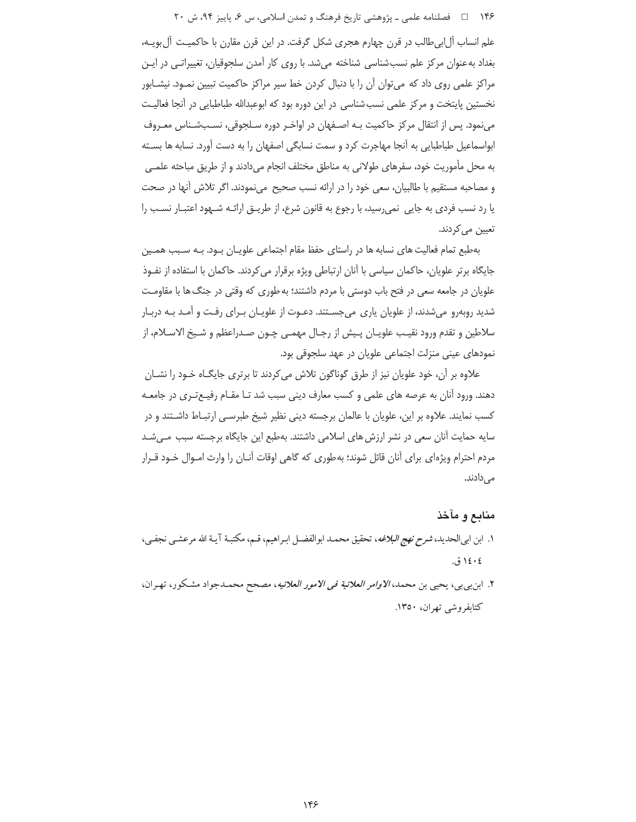۱۴۶ هـ المصلنامه علمي ـ پژوهشي تاريخ فرهنگ و تمدن اسلامي، س ۶، پاييز ۹۴، ش ۲۰

علم انساب آل!بی طالب در قرن چهارم هجری شکل گرفت. در این قرن مقارن با حاکمیـت آل بویـه، بغداد به عنوان مرکز علم نسب شناسی شناخته میشد. با روی کار آمدن سلجوقیان، تغییراتبی در ایـن مراکز علمی روی داد که می توان آن را با دنبال کردن خط سپر مراکز حاکمیت تبیین نمـود. نیشـابور نخستین پایتخت و مرکز علمی نسب شناسی در این دوره بود که ابوعبدالله طباطبایی در آنجا فعالیت می نمود. پس از انتقال مرکز حاکمیت بـه اصـفهان در اواخـر دوره سـلجوقی، نسـبشـناس معـروف ابواسماعیل طباطبایی به اّنجا مهاجرت کرد و سمت نسابگی اصفهان را به دست اّورد. نسابه ها بسـته به محل مأموریت خود، سفرهای طولانی به مناطق مختلف انجام میدادند و از طریق مباحثه علمـی و مصاحبه مستقیم با طالبیان، سعی خود را در ارائه نسب صحیح ٍ مینمودند. اگر تلاش آنها در صحت یا رد نسب فردی به جایی نمی رسید، با رجوع به قانون شرع، از طریــق ارائــه شــهود اعتبــار نســب را تعیین می کردند.

بهطبع تمام فعالیت های نسابه ها در راستای حفظ مقام اجتماعی علویـان بـود. بـه سـبب همـین جایگاه برتر علویان، حاکمان سیاسی با آنان ارتباطی ویژه برقرار می کردند. حاکمان با استفاده از نفـوذ علویان در جامعه سعی در فتح باب دوستی با مردم داشتند؛ به طوری که وقتی در جنگ ها با مقاومت شدید روبهرو میشدند، از علویان پاری میجسـتند. دعـوت از علویـان بـرای رفـت و آمـد بـه دربـار سلاطين و تقدم ورود نقيـب علويـان پـيش از رجـال مهمـي چـون صـدراعظم و شـيخ الاسـلام، از نمودهای عینی منزلت اجتماعی علویان در عهد سلجوقی بود.

علاوه بر آن، خود علویان نیز از طرق گوناگون تلاش میکردند تا برتری جایگــاه خــود را نشــان دهند. ورود آنان به عرصه های علمی و کسب معارف دینی سبب شد تـا مقـام رفیـع تـری در جامعـه کسب نمایند. علاوه بر این، علویان با عالمان برجسته دینی نظیر شیخ طبرسـی ارتبـاط داشـتند و در سایه حمایت آنان سعی در نشر ارزش های اسلامی داشتند. بهطبع این جایگاه برجسته سبب مـیشـد مردم احترام ویژهای برای آنان قائل شوند؛ بهطوری که گاهی اوقات آنـان را وارث امـوال خـود قـرار مے ,دادند.

### منابع و مآخذ

- ١. ابن ابي الحديد، *شرح نهج البلاغه*، تحقيق محمـد ابوالفضـل ابـراهيم، قـم، مكتبـة آيـة الله مرعشـي نجفـي، ١٤٠٤ ق.
- ٢. ابن بي بي، يحيى بن محمد، *الاوامر العلائية في الامور العلائيه*، مصحح محمـدجواد مشـكور، تهـران، کتابفروشی تھران، ۱۳۵۰.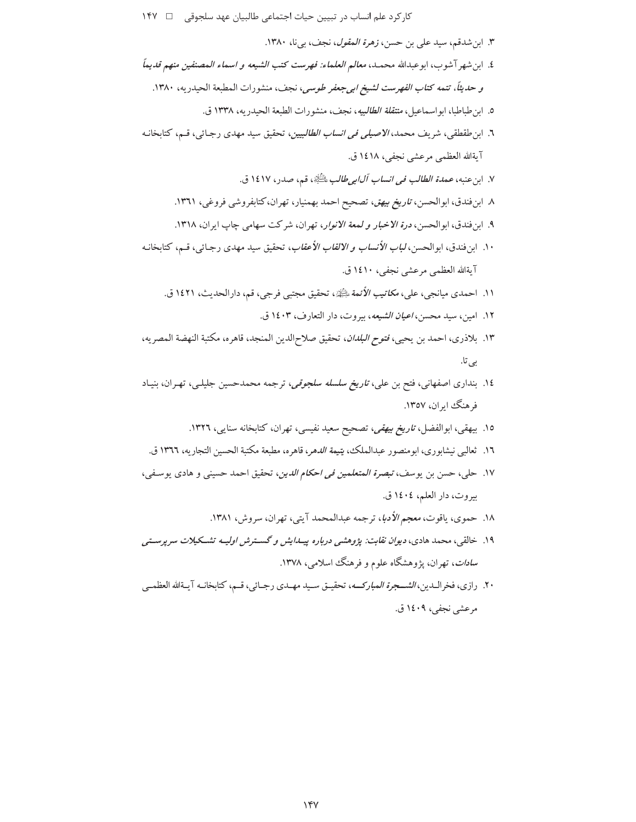کار کرد علم انساب در تبیین حیات اجتماعی طالبیان عهد سلجوقی □ ١۴٧

- ٣. ابن شدقم، سيد على بن حسن، *زهرة المقول*، نجف، بيiا، ١٣٨٠. ٤. ابن شهر آ شوب، ابوعبدالله محمــد، معالـم *العلماء: فهرست كتب الشيعه و اسماء المصنفين منهم قديماً* و حديثاً، تتمه كتاب *الفهرست لشيخ ابي جعفر طوسي*، نجف، منشورات المطبعة الحيدريه، ١٣٨٠. ٥. ابن طباطبا، ابواسماعيل، *منتقلة الطالبيه*، نجف، منشورات الطبعة الحيدريه، ١٣٣٨ ق. ٦. ابن طقطقي، شريف محمد، *الاصيلي في انساب الطالبيين*، تحقيق سيد مهدي رجـائي، قـم، كتابخانـه آيةالله العظمى مرعشى نجفى، ١٤١٨ ق. ٧. ابن عنبه، عم*دة الطالب في انساب آل|بي طالب علطَّيِّ*ة، قم، صدر، ١٤١٧ ق. ٨ ابن فندق، ابوالحسن، ت*اريخ بيهق*، تصحيح احمد بهمنيار، تهران،كتابفروشي فروغي، ١٣٦١. ۹. این فندق، ابوالحسن، *درة الاخبار و لمعة الانوار*، تهران، شركت سهامي جاب ايران، ۱۳۱۸. ۱۰. ابن فندق، ابوالحسن، *لباب الأنساب و الالقاب الأعقاب*، تحقيق سيد مهدي رجـائ<sub>ي</sub>، قـم، كتابخانـه آيةالله العظمى مرعشى نجفى، ١٤١٠ ق. ١١. احمدي ميانجي، علي، *مكاتيب الأئمة بِل*ِيَّلِةِ، تحقيق مجتبي فرجي، قم، دارالحديث، ١٤٢١ ق. ١٢. امين، سيد محسن، ا*عيان الشيعه*، بيروت، دار التعارف، ١٤٠٣ ق. ١٣. بلاذري، احمد بن يحيى، فتوح *البلدان*، تحقيق صلاحالدين المنجد، قاهره، مكتبة النهضة المصريه، بے تا. ۱٤. بنداری اصفهانی، فتح بن علی، *تاریخ سلسله سلجوقی،* ترجمه محمدحسین جلیلـی، تهـران، بنیـاد فر هنگ ابران، ۱۳٥۷.
	- ۱۵. بیهقی، ابوالفضل، *تاریخ بیهقی، تص*حیح سعید نفیسی، تهران، کتابخانه سنایی، ۱۳۲۲.
	- ١٦. ثعالبي نيشابوري، ابومنصور عبدالملك، يتي*مة الدهر*، قاهره، مطبعة مكتبة الحسين التجاريه، ١٣٦٦ ق.
- ١٧. حلي، حسن بن يوسف، *تبصرة المتعلمين في احكام الدين*، تحقيق احمد حسيني و هادي يوسـفي، بيروت، دار العلم، ١٤٠٤ ق.
	- ١٨. حموي، ياقوت، معجم الأدبا، ترجمه عبدالمحمد آيتي، تهران، سروش، ١٣٨١.
- ۱۹. خالقی، محمد هادی، *دیوان نقابت: پژوهشی درباره پیـدایش و گســترش اولیــه تشــکیلات سرپرســتی* س*ادات*، تهران، پژوهشگاه علوم و فرهنگ اسلام<sub>ی،</sub>، ۱۳۷۸.
- ٢٠. رازي، فخراللدين، *الشــجرة المباركــه*، تحقيـق سـيد مهـدي رجـائي، قـم، كتابخانـه آيـةالله العظمـى مرعشي نجفي، ١٤٠٩ ق.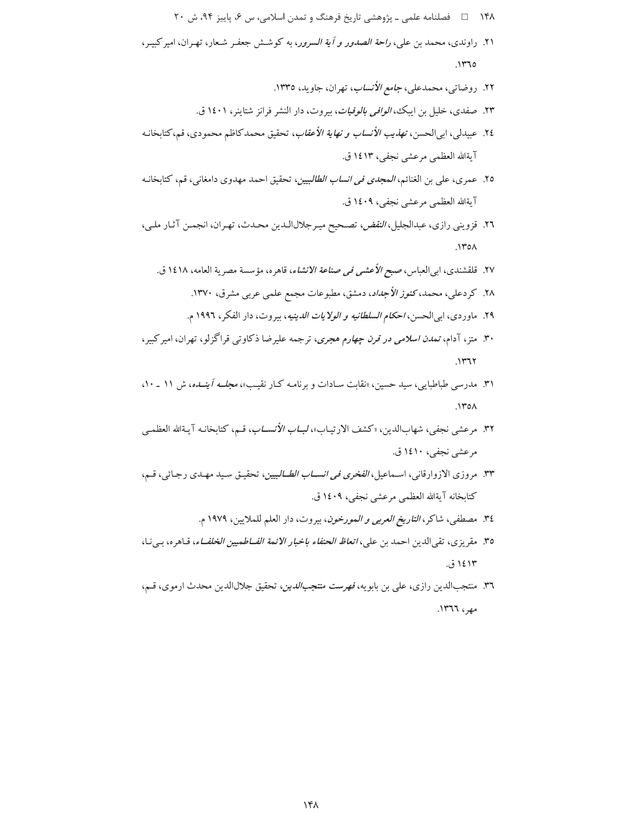- ۱۴۸ = فصلنامه علمی ـ پژوهشی تاریخ فرهنگ و تمدن اسلامی، س ۶، پاییز ۹۴، ش ۲۰
- ۲۱. راوندی، محمد بن علی، *راحة الصدور و آية السرور*، به كوشش جعفـر شـعار، تهـران، اميركبيـر،  $.1470$ 
	- ۲۲. روضاتي، محمدعلي، *جامع الأنساب*، تهران، جاويد، ۱۳۳٥.
	- ۲۳. صفدي، خليل بن ايبك، *الوافي بالوفيات*، بيروت، دار النشر فرانز شتاينر، ۱٤٠١ ق.
- ٢٤. عبيدلم ،، ابي الحسن، ت*هذيب الأنساب و نهاية الأعقاب*، تحقيق محمد كاظم محمودي، قم،كتابخانـه آيةالله العظمى مرعشى نجفى، ١٤١٣ ق.
- ٢٥. عمري، علي بن الغنائم، *المجدي في انساب الطالبيين*، تحقيق احمد مهدوي دامغاني، قم، كتابخانـه آيةالله العظمى مرعشى نجفي، ١٤٠٩ ق.
- ٢٦. قزويني رازي، عبدالجليل، *النقض، تص*حيح ميـرجلالالـدين محـدث، تهـران، انجمـن آثـار ملـي،  $.1$ ۳٥ $\Lambda$ 
	- ٢٧. قلقشندي، ابي العباس، صبح *الأعشى في صناعة الانشاء*، قاهره، مؤسسة مصرية العامه، ١٤١٨ ق.
		- ۲۸. کر دعلی، محمد، کن*وز الأجداد*، دمشق، مطبوعات مجمع علمی عربی مشرق، ۱۳۷۰.
		- ٢٩. ماوردي، ابي|لحسن، *احكام السلطانيه و الولايات الدينيه*، بيروت، دار الفكر، ١٩٩٦ م.
- ۳۰. متز، آدام، *تمدن اسلامی در قرن چهارم هجری*، ترجمه علیرضا ذکاوتی قراگزلو، تهران، امیر کبیر،  $.1177$
- ۳۱. مدرسی طباطبایی، سید حسین، «نقابت سـادات و برنامـه کـار نقیـب»، *مجلــه آینــده*، ش ۱۱ ـ ۱۰،  $NTOA$
- ٣٢. مر عشى نجفي، شهابالدين، «كشف الارتيـاب»، *لبــاب الأنســاب*، قــم، كتابخانـه آيـةالله العظمـي مرعشي نجفي، ١٤١٠ ق.
- ٣٣. مروزي الازوارقاني، اسماعيل، *الفخري في انســاب الطــالبيين*، تحقيـق سـيد مهـدي رجـائي، قـم، كتابخانه آيةالله العظمى مرعشى نجفى، ١٤٠٩ ق.
	- ٣٤. مصطفى، شاكر، *التاريخ العربي و المورخون*، بيروت، دار العلم للملايين، ١٩٧٩ م.
- ٣٥. مقريزي، تقى الدين احمد بن علي، *اتعاظ الحنفاء باخبار الائمة الفــاط*ميي*ن الخلفــاء*، قـاهره، بـي نـا، ۱٤۱۳ ق.
- ٣٦. منتجبالدين رازى، على بن بابويه، فهرست منتجب الدين، تحقيق جلالالدين محدث ارموى، قـم، مهر، ١٣٦٦.